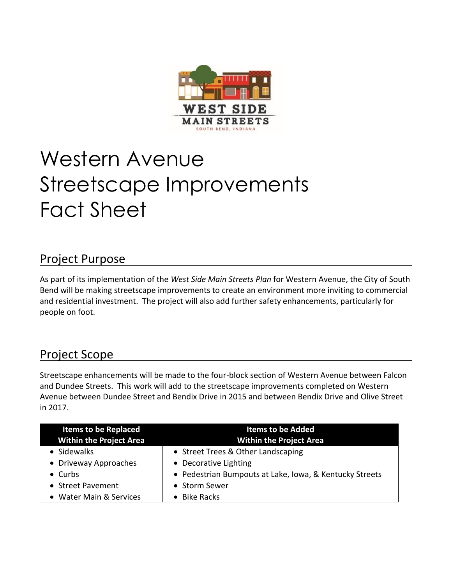

# Western Avenue Streetscape Improvements Fact Sheet

## Project Purpose

As part of its implementation of the *West Side Main Streets Plan* for Western Avenue, the City of South Bend will be making streetscape improvements to create an environment more inviting to commercial and residential investment. The project will also add further safety enhancements, particularly for people on foot.

## Project Scope

Streetscape enhancements will be made to the four-block section of Western Avenue between Falcon and Dundee Streets. This work will add to the streetscape improvements completed on Western Avenue between Dundee Street and Bendix Drive in 2015 and between Bendix Drive and Olive Street in 2017.

| <b>Items to be Replaced</b><br><b>Within the Project Area</b> | <b>Items to be Added</b><br><b>Within the Project Area</b> |
|---------------------------------------------------------------|------------------------------------------------------------|
| • Sidewalks                                                   | • Street Trees & Other Landscaping                         |
| • Driveway Approaches                                         | • Decorative Lighting                                      |
| $\bullet$ Curbs                                               | • Pedestrian Bumpouts at Lake, Iowa, & Kentucky Streets    |
| • Street Pavement                                             | • Storm Sewer                                              |
| • Water Main & Services                                       | • Bike Racks                                               |